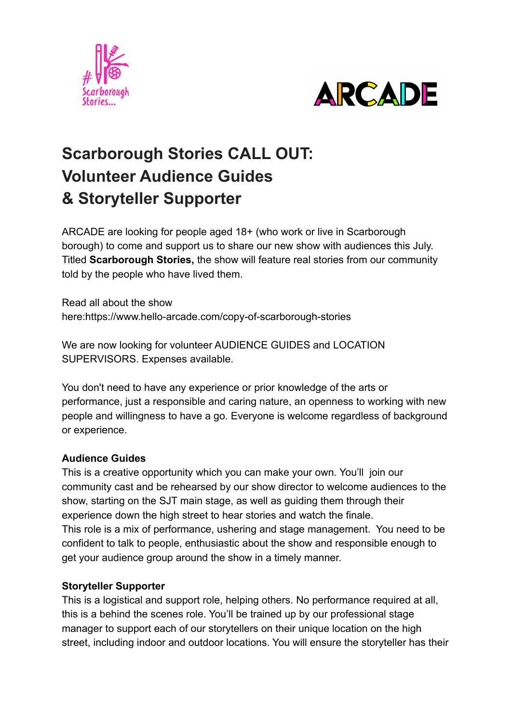



# **Scarborough Stories CALL OUT: Volunteer Audience Guides & Storyteller Supporter**

ARCADE are looking for people aged 18+ (who work or live in Scarborough borough) to come and support us to share our new show with audiences this July. Titled **Scarborough Stories,** the show will feature real stories from our community told by the people who have lived them.

Read all about the show here:https://www.hello-arcade.com/copy-of-scarborough-stories

We are now looking for volunteer AUDIENCE GUIDES and LOCATION SUPERVISORS. Expenses available.

You don't need to have any experience or prior knowledge of the arts or performance, just a responsible and caring nature, an openness to working with new people and willingness to have a go. Everyone is welcome regardless of background or experience.

## **Audience Guides**

This is a creative opportunity which you can make your own. You'll join our community cast and be rehearsed by our show director to welcome audiences to the show, starting on the SJT main stage, as well as guiding them through their experience down the high street to hear stories and watch the finale. This role is a mix of performance, ushering and stage management. You need to be confident to talk to people, enthusiastic about the show and responsible enough to get your audience group around the show in a timely manner.

## **Storyteller Supporter**

This is a logistical and support role, helping others. No performance required at all, this is a behind the scenes role. You'll be trained up by our professional stage manager to support each of our storytellers on their unique location on the high street, including indoor and outdoor locations. You will ensure the storyteller has their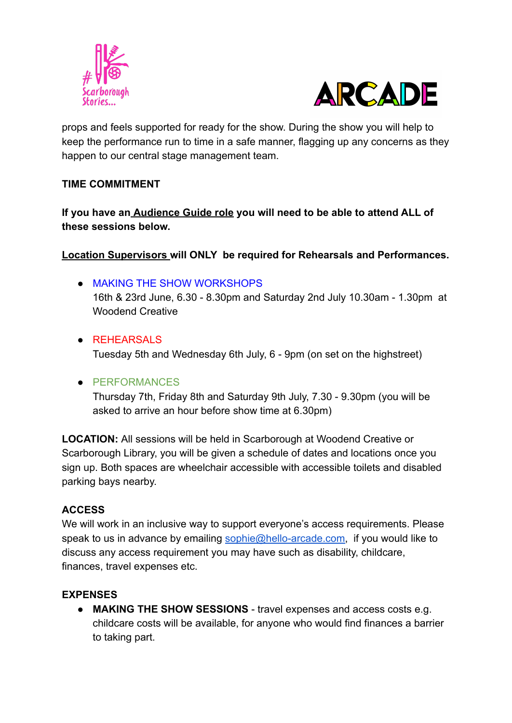



props and feels supported for ready for the show. During the show you will help to keep the performance run to time in a safe manner, flagging up any concerns as they happen to our central stage management team.

## **TIME COMMITMENT**

**If you have an Audience Guide role you will need to be able to attend ALL of these sessions below.**

**Location Supervisors will ONLY be required for Rehearsals and Performances.**

- MAKING THE SHOW WORKSHOPS 16th & 23rd June, 6.30 - 8.30pm and Saturday 2nd July 10.30am - 1.30pm at Woodend Creative
- REHEARSALS

Tuesday 5th and Wednesday 6th July, 6 - 9pm (on set on the highstreet)

## ● PERFORMANCES

Thursday 7th, Friday 8th and Saturday 9th July, 7.30 - 9.30pm (you will be asked to arrive an hour before show time at 6.30pm)

**LOCATION:** All sessions will be held in Scarborough at Woodend Creative or Scarborough Library, you will be given a schedule of dates and locations once you sign up. Both spaces are wheelchair accessible with accessible toilets and disabled parking bays nearby.

## **ACCESS**

We will work in an inclusive way to support everyone's access requirements. Please speak to us in advance by emailing [sophie@hello-arcade.com,](mailto:sophie@hello-arcade.com) if you would like to discuss any access requirement you may have such as disability, childcare, finances, travel expenses etc.

## **EXPENSES**

● **MAKING THE SHOW SESSIONS** - travel expenses and access costs e.g. childcare costs will be available, for anyone who would find finances a barrier to taking part.